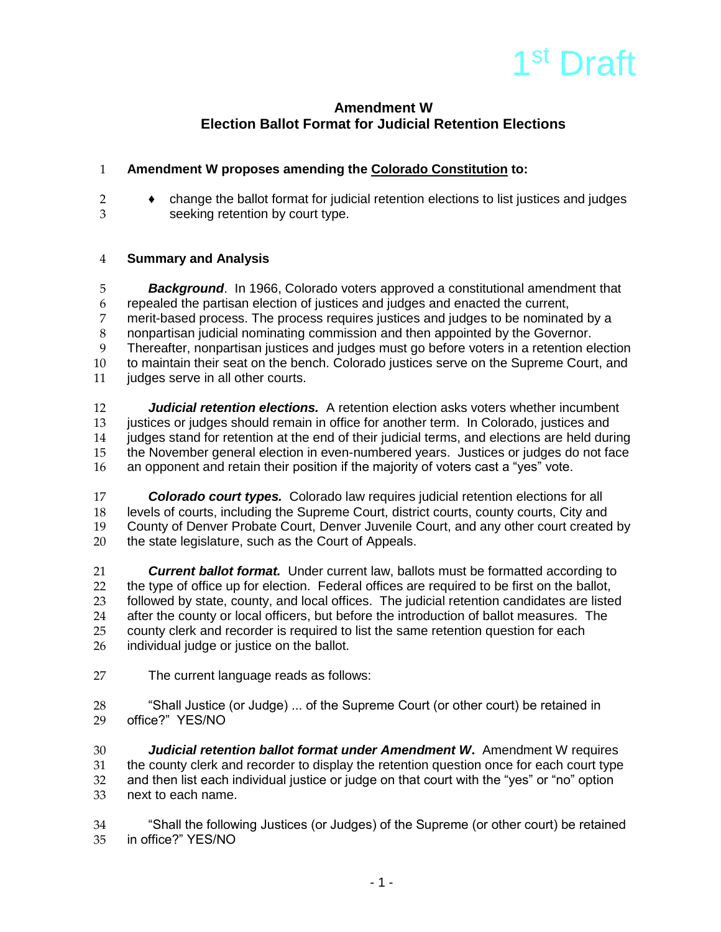

# **Amendment W Election Ballot Format for Judicial Retention Elections**

## **Amendment W proposes amending the Colorado Constitution to:**

 ♦ change the ballot format for judicial retention elections to list justices and judges seeking retention by court type.

## **Summary and Analysis**

 *Background*. In 1966, Colorado voters approved a constitutional amendment that repealed the partisan election of justices and judges and enacted the current, merit-based process. The process requires justices and judges to be nominated by a nonpartisan judicial nominating commission and then appointed by the Governor. Thereafter, nonpartisan justices and judges must go before voters in a retention election 10 to maintain their seat on the bench. Colorado justices serve on the Supreme Court, and<br>11 iudges serve in all other courts. iudges serve in all other courts.

 *Judicial retention elections.*A retention election asks voters whether incumbent justices or judges should remain in office for another term. In Colorado, justices and judges stand for retention at the end of their judicial terms, and elections are held during the November general election in even-numbered years. Justices or judges do not face an opponent and retain their position if the majority of voters cast a "yes" vote.

17 **Colorado court types.** Colorado law requires judicial retention elections for all<br>18 levels of courts, including the Supreme Court, district courts, county courts, City and levels of courts, including the Supreme Court, district courts, county courts, City and County of Denver Probate Court, Denver Juvenile Court, and any other court created by 20 the state legislature, such as the Court of Appeals.

**Current ballot format.** Under current law, ballots must be formatted according to the type of office up for election. Federal offices are required to be first on the ballot. 22 the type of office up for election. Federal offices are required to be first on the ballot,<br>23 followed by state, county, and local offices. The judicial retention candidates are liste 23 followed by state, county, and local offices. The judicial retention candidates are listed<br>24 after the county or local officers, but before the introduction of ballot measures. The after the county or local officers, but before the introduction of ballot measures. The county clerk and recorder is required to list the same retention question for each individual judge or justice on the ballot.

The current language reads as follows:

 "Shall Justice (or Judge) ... of the Supreme Court (or other court) be retained in office?" YES/NO

 *Judicial retention ballot format under Amendment W***.** Amendment W requires the county clerk and recorder to display the retention question once for each court type and then list each individual justice or judge on that court with the "yes" or "no" option next to each name.

 "Shall the following Justices (or Judges) of the Supreme (or other court) be retained in office?" YES/NO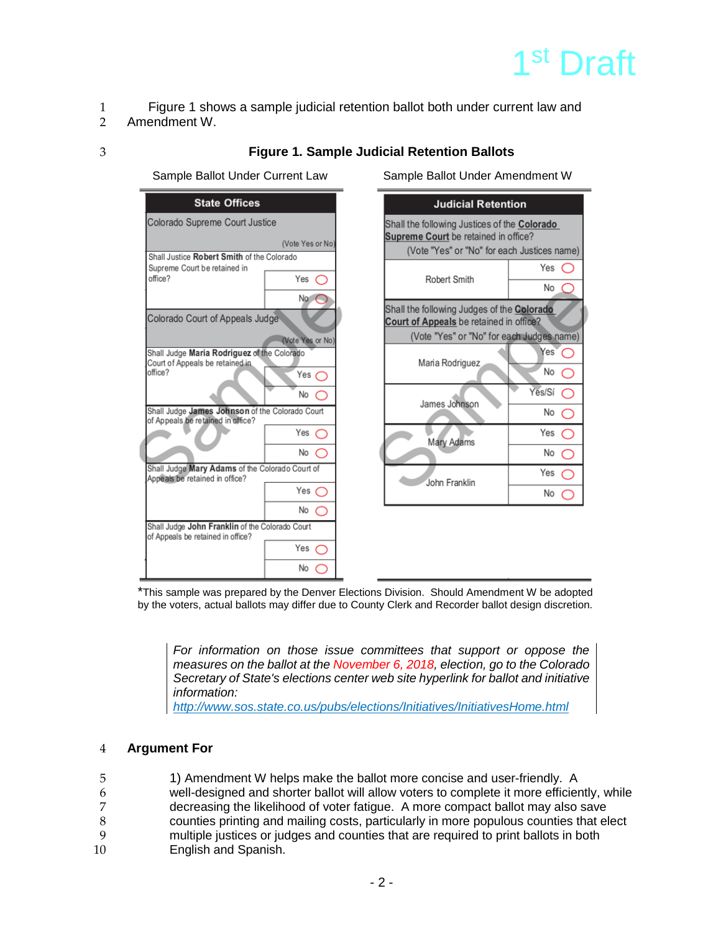# 1<sup>st</sup> Draft

es name)

es name res"  $\subset$ 

◯

 $\bigcirc$ 

 $\bigcirc$ 

No ◯

No  $\bigcirc$ 

No ⌒

No  $\subset$ 

 $\subset$ 

- 1 Figure 1 shows a sample judicial retention ballot both under current law and
- 2 Amendment W.
- 

## 3 **Figure 1. Sample Judicial Retention Ballots**

Sample Ballot Under Current Law Sample Ballot Under Amendment W

| <b>State Offices</b>                                                                      |                               |                                                                                                                                | <b>Judicial Retention</b>                                                                                                       |  |
|-------------------------------------------------------------------------------------------|-------------------------------|--------------------------------------------------------------------------------------------------------------------------------|---------------------------------------------------------------------------------------------------------------------------------|--|
| Colorado Supreme Court Justice<br>(Vote Yes or No)                                        |                               |                                                                                                                                | Shall the following Justices of the Colorado<br>Supreme Court be retained in office?<br>(Vote "Yes" or "No" for each Justices n |  |
| Shall Justice Robert Smith of the Colorado<br>Supreme Court be retained in<br>office?     | Yes $\subset$<br>No $\subset$ | Robert Smith                                                                                                                   | Yes<br>No                                                                                                                       |  |
| Colorado Court of Appeals Judge                                                           | (Vote Yes or No)              | Shall the following Judges of the Colorado<br>Court of Appeals be retained in office?<br>(Vote "Yes" or "No" for each Judges n |                                                                                                                                 |  |
| Shall Judge Maria Rodriguez of the Colorado<br>Court of Appeals be retained in<br>office? | Yes $\subset$                 | Maria Rodriguez                                                                                                                | Yes <sup>'</sup><br>No                                                                                                          |  |
| Shall Judge James Johnson of the Colorado Court<br>of Appeals be retained in office?      | No $\subset$                  | James Johnson                                                                                                                  | Yes/Sí<br>No                                                                                                                    |  |
|                                                                                           | Yes $\subset$<br>No $\bigcap$ | Mary Adams                                                                                                                     | Yes<br>No                                                                                                                       |  |
| Shall Judge Mary Adams of the Colorado Court of<br>Appeals be retained in office?         |                               | John Franklin                                                                                                                  | Yes                                                                                                                             |  |
|                                                                                           | Yes $\bigcap$<br>No $\bigcap$ |                                                                                                                                | <b>No</b>                                                                                                                       |  |
| Shall Judge John Franklin of the Colorado Court<br>of Appeals be retained in office?      | Yes $\subset$                 |                                                                                                                                |                                                                                                                                 |  |
|                                                                                           | No.                           |                                                                                                                                |                                                                                                                                 |  |

\*This sample was prepared by the Denver Elections Division. Should Amendment W be adopted by the voters, actual ballots may differ due to County Clerk and Recorder ballot design discretion.

*For information on those issue committees that support or oppose the measures on the ballot at the November 6, 2018, election, go to the Colorado Secretary of State's elections center web site hyperlink for ballot and initiative information:*

*<http://www.sos.state.co.us/pubs/elections/Initiatives/InitiativesHome.html>*

## 4 **Argument For**

5 1) Amendment W helps make the ballot more concise and user-friendly. A 6 well-designed and shorter ballot will allow voters to complete it more efficiently, while<br>7 decreasing the likelihood of voter fatique. A more compact ballot may also save 7 decreasing the likelihood of voter fatigue. A more compact ballot may also save<br>8 counties printing and mailing costs, particularly in more populous counties that el 8 counties printing and mailing costs, particularly in more populous counties that elect<br>9 multiple iustices or judges and counties that are required to print ballots in both 9 multiple justices or judges and counties that are required to print ballots in both

English and Spanish.